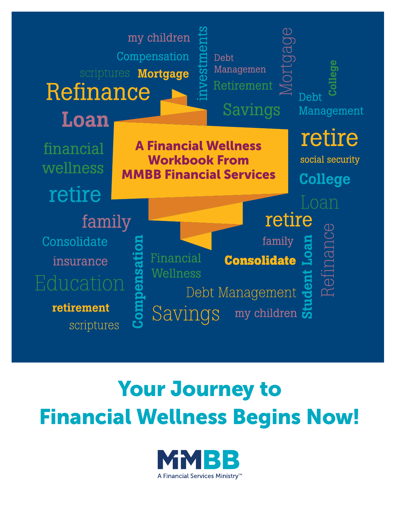

# Your Journey to Financial Wellness Begins Now!

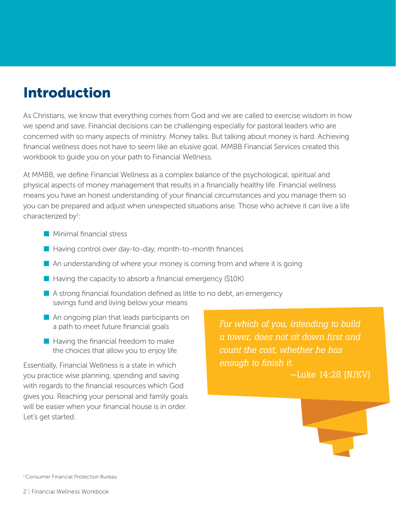## Introduction

As Christians, we know that everything comes from God and we are called to exercise wisdom in how we spend and save. Financial decisions can be challenging especially for pastoral leaders who are concerned with so many aspects of ministry. Money talks. But talking about money is hard. Achieving financial wellness does not have to seem like an elusive goal. MMBB Financial Services created this workbook to guide you on your path to Financial Wellness.

At MMBB, we define Financial Wellness as a complex balance of the psychological, spiritual and physical aspects of money management that results in a financially healthy life. Financial wellness means you have an honest understanding of your financial circumstances and you manage them so you can be prepared and adjust when unexpected situations arise. Those who achieve it can live a life characterized by<sup>1</sup>:

- $\blacksquare$  Minimal financial stress
- $\blacksquare$  Having control over day-to-day, month-to-month finances
- $\blacksquare$  An understanding of where your money is coming from and where it is going
- $\blacksquare$  Having the capacity to absorb a financial emergency (\$10K)
- $\blacksquare$  A strong financial foundation defined as little to no debt, an emergency savings fund and living below your means
- $\blacksquare$  An ongoing plan that leads participants on a path to meet future financial goals
- $\blacksquare$  Having the financial freedom to make the choices that allow you to enjoy life

Essentially, Financial Wellness is a state in which you practice wise planning, spending and saving with regards to the financial resources which God gives you. Reaching your personal and family goals will be easier when your financial house is in order. Let's get started.

*For which of you, intending to build a tower, does not sit down first and count the cost, whether he has enough to finish it.* —Luke 14:28 (NJKV)

1 Consumer Financial Protection Bureau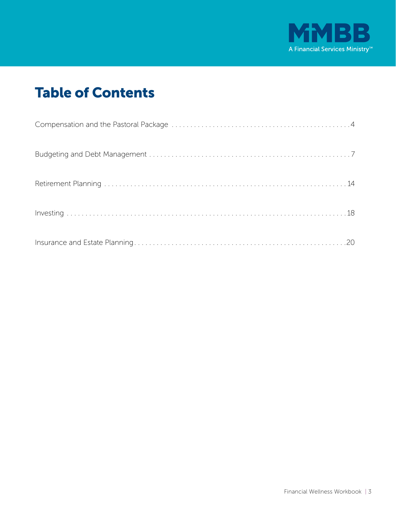

# Table of Contents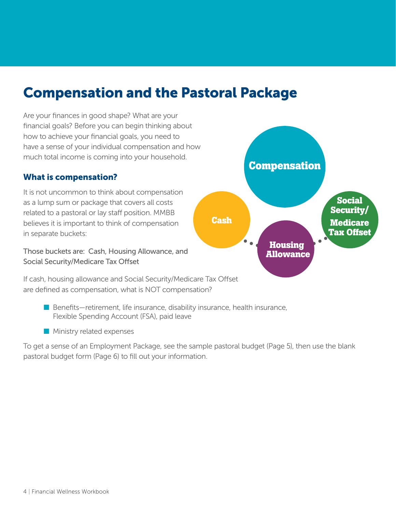### Compensation and the Pastoral Package

Are your finances in good shape? What are your financial goals? Before you can begin thinking about how to achieve your financial goals, you need to have a sense of your individual compensation and how much total income is coming into your household.

#### What is compensation?

It is not uncommon to think about compensation as a lump sum or package that covers all costs related to a pastoral or lay staff position. MMBB believes it is important to think of compensation in separate buckets:

Those buckets are: Cash, Housing Allowance, and Social Security/Medicare Tax Offset



If cash, housing allowance and Social Security/Medicare Tax Offset are defined as compensation, what is NOT compensation?

- $\blacksquare$  Benefits—retirement, life insurance, disability insurance, health insurance, Flexible Spending Account (FSA), paid leave
- $\blacksquare$  Ministry related expenses

To get a sense of an Employment Package, see the sample pastoral budget (Page 5), then use the blank pastoral budget form (Page 6) to fill out your information.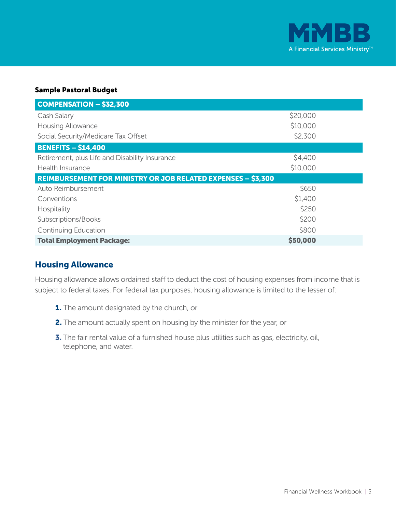

#### Sample Pastoral Budget

| <b>COMPENSATION - \$32,300</b>                                      |          |
|---------------------------------------------------------------------|----------|
| Cash Salary                                                         | \$20,000 |
| <b>Housing Allowance</b>                                            | \$10,000 |
| Social Security/Medicare Tax Offset                                 | \$2,300  |
| <b>BENEFITS - \$14,400</b>                                          |          |
| Retirement, plus Life and Disability Insurance                      | \$4,400  |
| Health Insurance                                                    | \$10,000 |
| <b>REIMBURSEMENT FOR MINISTRY OR JOB RELATED EXPENSES - \$3,300</b> |          |
| Auto Reimbursement                                                  | \$650    |
| Conventions                                                         | \$1,400  |
| Hospitality                                                         | \$250    |
| Subscriptions/Books                                                 | \$200    |
| Continuing Education                                                | \$800    |
| <b>Total Employment Package:</b>                                    | \$50,000 |

#### Housing Allowance

Housing allowance allows ordained staff to deduct the cost of housing expenses from income that is subject to federal taxes. For federal tax purposes, housing allowance is limited to the lesser of:

- **1.** The amount designated by the church, or
- 2. The amount actually spent on housing by the minister for the year, or
- **3.** The fair rental value of a furnished house plus utilities such as gas, electricity, oil, telephone, and water.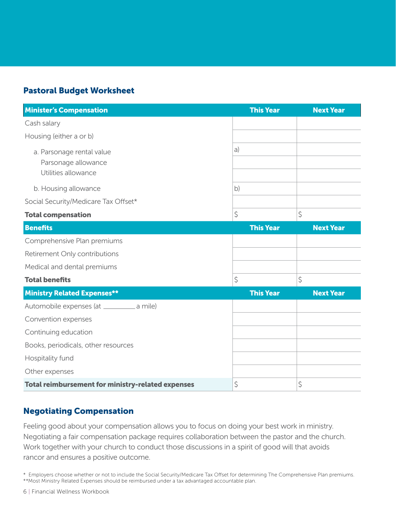#### Pastoral Budget Worksheet

| <b>Minister's Compensation</b>                                          | <b>This Year</b> | <b>Next Year</b> |
|-------------------------------------------------------------------------|------------------|------------------|
| Cash salary                                                             |                  |                  |
| Housing (either a or b)                                                 |                  |                  |
| a. Parsonage rental value<br>Parsonage allowance<br>Utilities allowance | a)               |                  |
| b. Housing allowance                                                    | b)               |                  |
| Social Security/Medicare Tax Offset*                                    |                  |                  |
| <b>Total compensation</b>                                               | \$               | \$               |
| <b>Benefits</b>                                                         | <b>This Year</b> | <b>Next Year</b> |
| Comprehensive Plan premiums                                             |                  |                  |
| Retirement Only contributions                                           |                  |                  |
| Medical and dental premiums                                             |                  |                  |
| <b>Total benefits</b>                                                   | \$               | \$               |
| <b>Ministry Related Expenses**</b>                                      | <b>This Year</b> | <b>Next Year</b> |
| Automobile expenses (at __________ a mile)                              |                  |                  |
| Convention expenses                                                     |                  |                  |
| Continuing education                                                    |                  |                  |
| Books, periodicals, other resources                                     |                  |                  |
| Hospitality fund                                                        |                  |                  |
| Other expenses                                                          |                  |                  |
| <b>Total reimbursement for ministry-related expenses</b>                | \$               | \$               |

#### Negotiating Compensation

Feeling good about your compensation allows you to focus on doing your best work in ministry. Negotiating a fair compensation package requires collaboration between the pastor and the church. Work together with your church to conduct those discussions in a spirit of good will that avoids rancor and ensures a positive outcome.

\* Employers choose whether or not to include the Social Security/Medicare Tax Offset for determining The Comprehensive Plan premiums. \*\*Most Ministry Related Expenses should be reimbursed under a tax advantaged accountable plan.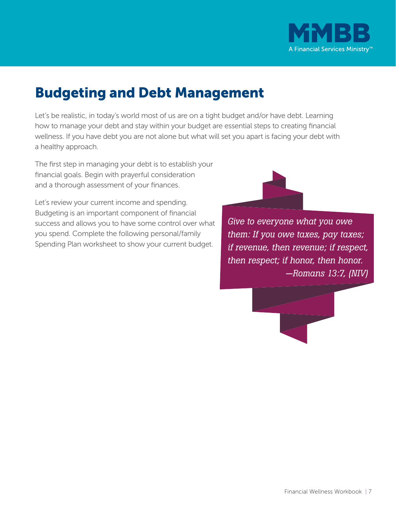

# Budgeting and Debt Management

Let's be realistic, in today's world most of us are on a tight budget and/or have debt. Learning how to manage your debt and stay within your budget are essential steps to creating financial wellness. If you have debt you are not alone but what will set you apart is facing your debt with a healthy approach.

The first step in managing your debt is to establish your financial goals. Begin with prayerful consideration and a thorough assessment of your finances.

Let's review your current income and spending. Budgeting is an important component of financial success and allows you to have some control over what you spend. Complete the following personal/family Spending Plan worksheet to show your current budget.



*Give to everyone what you owe them: If you owe taxes, pay taxes; if revenue, then revenue; if respect, then respect; if honor, then honor. —Romans 13:7, (NIV)* 

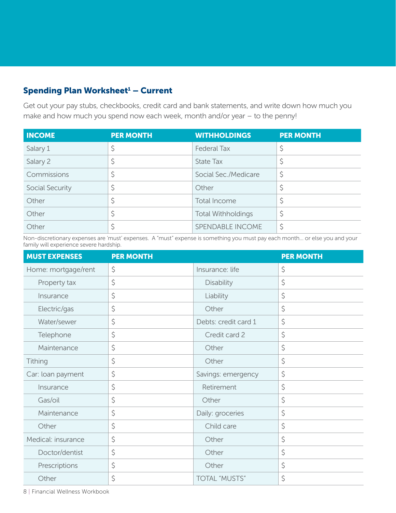### Spending Plan Worksheet<sup>1</sup> – Current

Get out your pay stubs, checkbooks, credit card and bank statements, and write down how much you make and how much you spend now each week, month and/or year – to the penny!

| <b>INCOME</b>   | <b>PER MONTH</b> | <b>WITHHOLDINGS</b>       | <b>PER MONTH</b> |
|-----------------|------------------|---------------------------|------------------|
| Salary 1        |                  | <b>Federal Tax</b>        |                  |
| Salary 2        |                  | State Tax                 |                  |
| Commissions     |                  | Social Sec./Medicare      | J                |
| Social Security |                  | Other                     |                  |
| Other           |                  | Total Income              |                  |
| Other           |                  | <b>Total Withholdings</b> |                  |
| Other           |                  | SPENDABLE INCOME          |                  |

Non-discretionary expenses are 'must' expenses. A "must" expense is something you must pay each month... or else you and your family will experience severe hardship.

| <b>MUST EXPENSES</b> | <b>PER MONTH</b> |                      | <b>PER MONTH</b> |
|----------------------|------------------|----------------------|------------------|
| Home: mortgage/rent  | \$               | Insurance: life      | \$               |
| Property tax         | \$               | <b>Disability</b>    | \$               |
| Insurance            | \$               | Liability            | \$               |
| Electric/gas         | \$               | Other                | \$               |
| Water/sewer          | \$               | Debts: credit card 1 | \$               |
| Telephone            | \$               | Credit card 2        | \$               |
| Maintenance          | \$               | Other                | \$               |
| Tithing              | \$               | Other                | \$               |
| Car: loan payment    | \$               | Savings: emergency   | \$               |
| Insurance            | \$               | Retirement           | \$               |
| Gas/oil              | \$               | Other                | \$               |
| Maintenance          | \$               | Daily: groceries     | \$               |
| Other                | \$               | Child care           | \$               |
| Medical: insurance   | \$               | Other                | \$               |
| Doctor/dentist       | \$               | Other                | \$               |
| Prescriptions        | \$               | Other                | \$               |
| Other                | \$               | TOTAL "MUSTS"        | \$               |

8 | Financial Wellness Workbook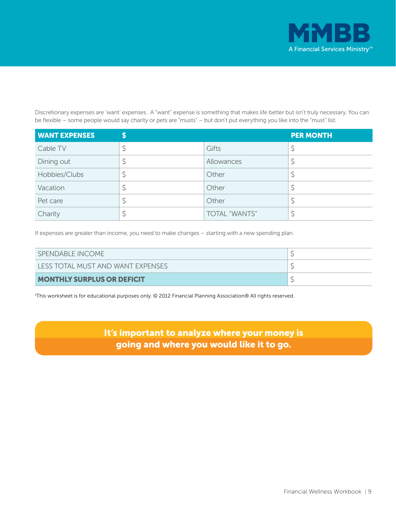

Discretionary expenses are 'want' expenses. A "want" expense is something that makes life better but isn't truly necessary. You can be flexible – some people would say charity or pets are "musts" – but don't put everything you like into the "must" list.

| <b>WANT EXPENSES</b> |               | <b>PER MONTH</b> |
|----------------------|---------------|------------------|
| Cable TV             | Gifts         |                  |
| Dining out           | Allowances    |                  |
| Hobbies/Clubs        | Other         |                  |
| Vacation             | Other         |                  |
| Pet care             | Other         |                  |
| Charity              | TOTAL "WANTS" |                  |

If expenses are greater than income, you need to make changes – starting with a new spending plan.

| SPENDABLE INCOME                  |  |
|-----------------------------------|--|
| LESS TOTAL MUST AND WANT EXPENSES |  |
| <b>MONTHLY SURPLUS OR DEFICIT</b> |  |

1 This worksheet is for educational purposes only. © 2012 Financial Planning Association® All rights reserved.

It's important to analyze where your money is going and where you would like it to go.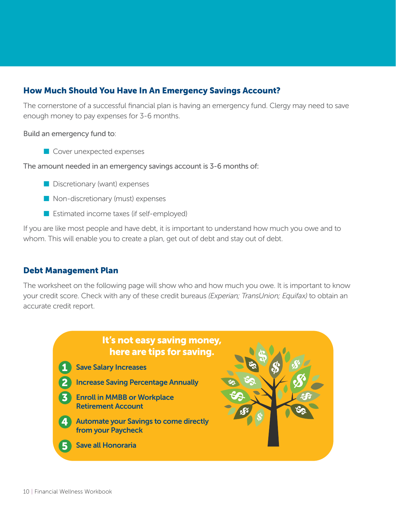### How Much Should You Have In An Emergency Savings Account?

The cornerstone of a successful financial plan is having an emergency fund. Clergy may need to save enough money to pay expenses for 3-6 months.

Build an emergency fund to:

 $\blacksquare$  Cover unexpected expenses

The amount needed in an emergency savings account is 3-6 months of:

- $\blacksquare$  Discretionary (want) expenses
- $\blacksquare$  Non-discretionary (must) expenses
- $\blacksquare$  Estimated income taxes (if self-employed)

If you are like most people and have debt, it is important to understand how much you owe and to whom. This will enable you to create a plan, get out of debt and stay out of debt.

#### Debt Management Plan

The worksheet on the following page will show who and how much you owe. It is important to know your credit score. Check with any of these credit bureaus *(Experian; TransUnion; Equifax)* to obtain an accurate credit report.

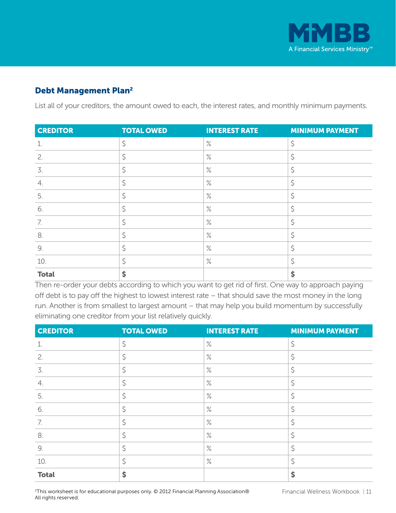

### Debt Management Plan2

List all of your creditors, the amount owed to each, the interest rates, and monthly minimum payments.

| <b>CREDITOR</b> | <b>TOTAL OWED</b> | <b>INTEREST RATE</b> | <b>MINIMUM PAYMENT</b> |
|-----------------|-------------------|----------------------|------------------------|
| 1.              | Ś                 | $\%$                 | Ŝ                      |
| 2.              | \$                | $\%$                 | \$                     |
| 3.              | \$                | $\%$                 | \$                     |
| 4.              | \$                | $\%$                 | \$                     |
| 5.              | \$                | $\%$                 | \$                     |
| 6.              | \$                | $\%$                 | \$                     |
| 7.              | Ś                 | $\%$                 | \$                     |
| 8.              | Ś                 | $\%$                 | Ś                      |
| 9.              | \$                | $\%$                 | \$                     |
| 10.             | \$                | $\%$                 | \$                     |
| <b>Total</b>    | \$                |                      | \$                     |

Then re-order your debts according to which you want to get rid of first. One way to approach paying off debt is to pay off the highest to lowest interest rate – that should save the most money in the long run. Another is from smallest to largest amount – that may help you build momentum by successfully eliminating one creditor from your list relatively quickly.

| <b>CREDITOR</b> | <b>TOTAL OWED</b> | <b>INTEREST RATE</b> | <b>MINIMUM PAYMENT</b> |
|-----------------|-------------------|----------------------|------------------------|
|                 | \$                | $\%$                 | \$                     |
| 2.              |                   | $\%$                 | Ś                      |
| 3.              | Ś                 | $\%$                 | Ś                      |
| 4.              | \$                | $\%$                 | \$                     |
| 5.              | \$                | $\%$                 | \$                     |
| 6.              | \$                | $\%$                 | \$                     |
| 7.              | \$                | $\%$                 | \$                     |
| 8.              | \$                | $\%$                 | \$                     |
| 9.              |                   | $\%$                 | \$                     |
| 10.             | Ś                 | $\%$                 | \$                     |
| <b>Total</b>    | \$                |                      | \$                     |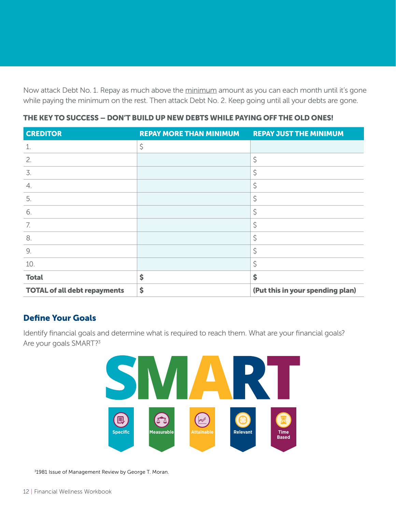Now attack Debt No. 1. Repay as much above the minimum amount as you can each month until it's gone while paying the minimum on the rest. Then attack Debt No. 2. Keep going until all your debts are gone.

| <b>CREDITOR</b>                     | <b>REPAY MORE THAN MINIMUM</b> | <b>REPAY JUST THE MINIMUM</b>    |
|-------------------------------------|--------------------------------|----------------------------------|
| $\mathbf 1$                         | \$                             |                                  |
| 2.                                  |                                | \$                               |
| 3.                                  |                                | \$                               |
| 4.                                  |                                | \$                               |
| 5.                                  |                                | \$                               |
| 6.                                  |                                | \$                               |
| 7.                                  |                                | \$                               |
| 8.                                  |                                | \$                               |
| 9.                                  |                                | \$                               |
| 10.                                 |                                | \$                               |
| <b>Total</b>                        | \$                             | \$                               |
| <b>TOTAL of all debt repayments</b> | \$                             | (Put this in your spending plan) |

#### THE KEY TO SUCCESS – DON'T BUILD UP NEW DEBTS WHILE PAYING OFF THE OLD ONES!

#### Define Your Goals

Identify financial goals and determine what is required to reach them. What are your financial goals? Are your goals SMART?<sup>3</sup>



3 1981 Issue of Management Review by George T. Moran.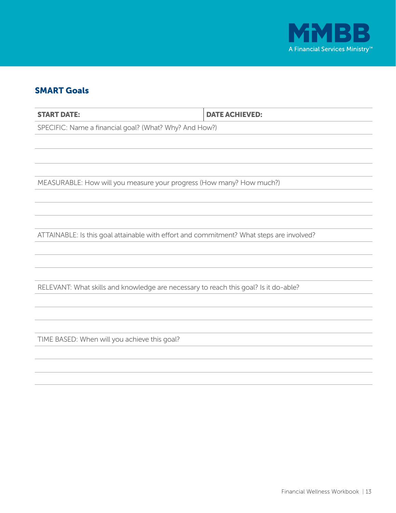

#### SMART Goals

START DATE: DATE ACHIEVED: SPECIFIC: Name a financial goal? (What? Why? And How?)

MEASURABLE: How will you measure your progress (How many? How much?)

ATTAINABLE: Is this goal attainable with effort and commitment? What steps are involved?

RELEVANT: What skills and knowledge are necessary to reach this goal? Is it do-able?

TIME BASED: When will you achieve this goal?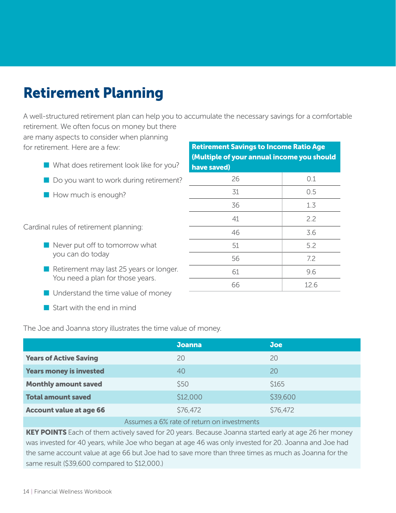# Retirement Planning

A well-structured retirement plan can help you to accumulate the necessary savings for a comfortable retirement. We often focus on money but there

are many aspects to consider when planning for retirement. Here are a few:

- $\blacksquare$  What does retirement look like for you?
- $\blacksquare$  Do you want to work during retirement?
- **Now much is enough?**

Cardinal rules of retirement planning:

- $\blacksquare$  Never put off to tomorrow what you can do today
- $\blacksquare$  Retirement may last 25 years or longer. You need a plan for those years.
- $\blacksquare$  Understand the time value of money
- $\blacksquare$  Start with the end in mind

The Joe and Joanna story illustrates the time value of money.

| <b>Joanna</b> | <b>Joe</b> |
|---------------|------------|
| 20            | 20         |
| 40            | 20         |
| \$50          | \$165      |
| \$12,000      | \$39,600   |
| \$76,472      | \$76,472   |
|               |            |

#### Assumes a 6% rate of return on investments

KEY POINTS Each of them actively saved for 20 years. Because Joanna started early at age 26 her money was invested for 40 years, while Joe who began at age 46 was only invested for 20. Joanna and Joe had the same account value at age 66 but Joe had to save more than three times as much as Joanna for the same result (\$39,600 compared to \$12,000.)

| <b>Retirement Savings to Income Ratio Age</b><br>(Multiple of your annual income you should |      |  |
|---------------------------------------------------------------------------------------------|------|--|
|                                                                                             |      |  |
| 26                                                                                          | 0.1  |  |
| 31                                                                                          | 0.5  |  |
| 36                                                                                          | 1.3  |  |
| 41                                                                                          | 2.2  |  |
| 46                                                                                          | 3.6  |  |
| 51                                                                                          | 5.2  |  |
| 56                                                                                          | 7.2  |  |
| 61                                                                                          | 9.6  |  |
| 66                                                                                          | 12.6 |  |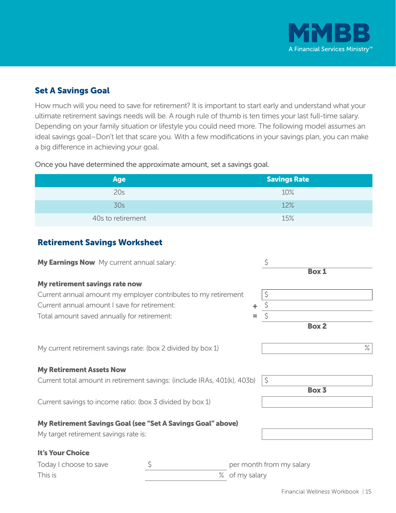

### Set A Savings Goal

How much will you need to save for retirement? It is important to start early and understand what your ultimate retirement savings needs will be. A rough rule of thumb is ten times your last full-time salary. Depending on your family situation or lifestyle you could need more. The following model assumes an ideal savings goal–Don't let that scare you. With a few modifications in your savings plan, you can make a big difference in achieving your goal.

| <b>Age</b>        | Savings Rate |
|-------------------|--------------|
| 20s               | 10%          |
| 30s               | 12%          |
| 40s to retirement | 15%          |

Once you have determined the approximate amount, set a savings goal.

#### Retirement Savings Worksheet

| My Earnings Now My current annual salary:                                |                | Ś                        | <b>Box 1</b> |
|--------------------------------------------------------------------------|----------------|--------------------------|--------------|
| My retirement savings rate now                                           |                |                          |              |
| Current annual amount my employer contributes to my retirement           |                | \$                       |              |
| Current annual amount I save for retirement:                             |                |                          |              |
| Total amount saved annually for retirement:                              |                |                          |              |
|                                                                          |                |                          | <b>Box 2</b> |
| My current retirement savings rate: (box 2 divided by box 1)             |                |                          | $\%$         |
| <b>My Retirement Assets Now</b>                                          |                |                          |              |
| Current total amount in retirement savings: (include IRAs, 401(k), 403b) |                | $\zeta$                  |              |
|                                                                          |                |                          | Box 3        |
| Current savings to income ratio: (box 3 divided by box 1)                |                |                          |              |
| My Retirement Savings Goal (see "Set A Savings Goal" above)              |                |                          |              |
| My target retirement savings rate is:                                    |                |                          |              |
| It's Your Choice                                                         |                |                          |              |
| Today I choose to save                                                   |                | per month from my salary |              |
| This is                                                                  | % of my salary |                          |              |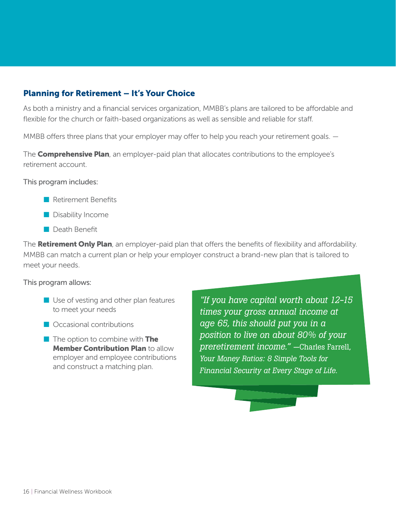#### Planning for Retirement – It's Your Choice

As both a ministry and a financial services organization, MMBB's plans are tailored to be affordable and flexible for the church or faith-based organizations as well as sensible and reliable for staff.

MMBB offers three plans that your employer may offer to help you reach your retirement goals.  $-$ 

The **Comprehensive Plan**, an employer-paid plan that allocates contributions to the employee's retirement account.

This program includes:

- $\blacksquare$  Retirement Benefits
- **n** Disability Income
- $\blacksquare$  Death Benefit

The **Retirement Only Plan**, an employer-paid plan that offers the benefits of flexibility and affordability. MMBB can match a current plan or help your employer construct a brand-new plan that is tailored to meet your needs.

#### This program allows:

- $\blacksquare$  Use of vesting and other plan features to meet your needs
- $\blacksquare$  Occasional contributions
- $\blacksquare$  The option to combine with The **Member Contribution Plan to allow** employer and employee contributions and construct a matching plan.

*"If you have capital worth about 12-15 times your gross annual income at age 65, this should put you in a position to live on about 80% of your preretirement income." —*Charles Farrell, *Your Money Ratios: 8 Simple Tools for Financial Security at Every Stage of Life.*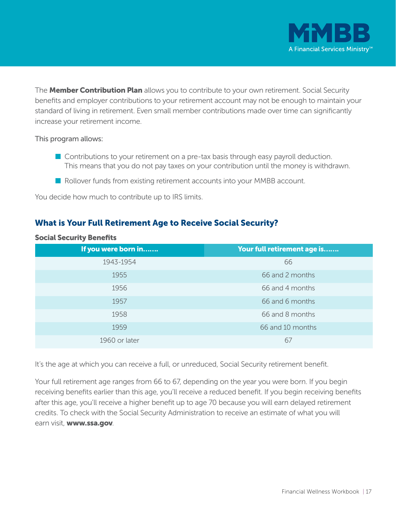

The **Member Contribution Plan** allows you to contribute to your own retirement. Social Security benefits and employer contributions to your retirement account may not be enough to maintain your standard of living in retirement. Even small member contributions made over time can significantly increase your retirement income.

#### This program allows:

- $\blacksquare$  Contributions to your retirement on a pre-tax basis through easy payroll deduction. This means that you do not pay taxes on your contribution until the money is withdrawn.
- Rollover funds from existing retirement accounts into your MMBB account.

You decide how much to contribute up to IRS limits.

#### What is Your Full Retirement Age to Receive Social Security?

| If you were born in | Your full retirement age is |
|---------------------|-----------------------------|
| 1943-1954           | 66                          |
| 1955                | 66 and 2 months             |
| 1956                | 66 and 4 months             |
| 1957                | 66 and 6 months             |
| 1958                | 66 and 8 months             |
| 1959                | 66 and 10 months            |
| 1960 or later       | 6/                          |

#### Social Security Benefits

It's the age at which you can receive a full, or unreduced, Social Security retirement benefit.

Your full retirement age ranges from 66 to 67, depending on the year you were born. If you begin receiving benefits earlier than this age, you'll receive a reduced benefit. If you begin receiving benefits after this age, you'll receive a higher benefit up to age 70 because you will earn delayed retirement credits. To check with the Social Security Administration to receive an estimate of what you will earn visit, www.ssa.gov.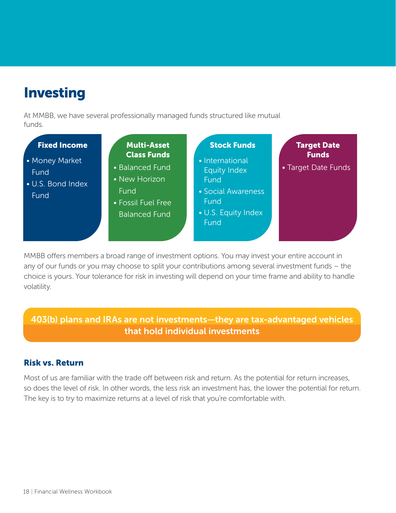# Investing

At MMBB, we have several professionally managed funds structured like mutual funds.

| <b>Fixed Income</b><br>• Money Market<br>Fund<br>• U.S. Bond Index<br>Fund | <b>Multi-Asset</b><br><b>Class Funds</b><br>• Balanced Fund<br>• New Horizon<br>Fund<br>• Fossil Fuel Free<br><b>Balanced Fund</b> | <b>Stock Funds</b><br>• International<br><b>Equity Index</b><br>Fund<br>• Social Awareness<br>Fund<br>• U.S. Equity Index<br>Fund | <b>Target Date</b><br><b>Funds</b><br>• Target Date Funds |
|----------------------------------------------------------------------------|------------------------------------------------------------------------------------------------------------------------------------|-----------------------------------------------------------------------------------------------------------------------------------|-----------------------------------------------------------|
|                                                                            |                                                                                                                                    |                                                                                                                                   |                                                           |

MMBB offers members a broad range of investment options. You may invest your entire account in any of our funds or you may choose to split your contributions among several investment funds – the choice is yours. Your tolerance for risk in investing will depend on your time frame and ability to handle volatility.

### 403(b) plans and IRAs are not investments—they are tax-advantaged vehicles that hold individual investments

#### Risk vs. Return

Most of us are familiar with the trade off between risk and return. As the potential for return increases, so does the level of risk. In other words, the less risk an investment has, the lower the potential for return. The key is to try to maximize returns at a level of risk that you're comfortable with.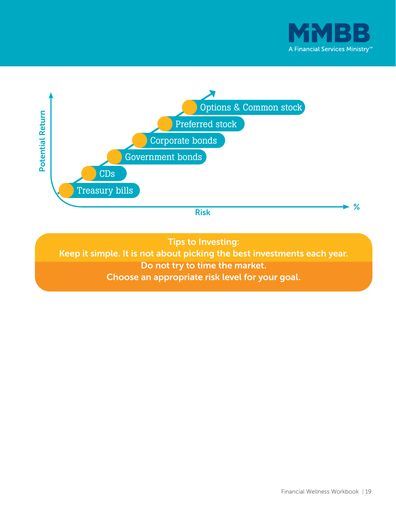



Tips to Investing:

Keep it simple. It is not about picking the best investments each year. Do not try to time the market. Choose an appropriate risk level for your goal.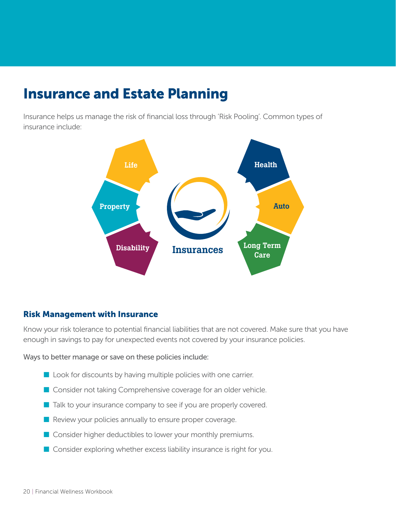### Insurance and Estate Planning

Insurance helps us manage the risk of financial loss through 'Risk Pooling'. Common types of insurance include:



#### Risk Management with Insurance

Know your risk tolerance to potential financial liabilities that are not covered. Make sure that you have enough in savings to pay for unexpected events not covered by your insurance policies.

Ways to better manage or save on these policies include:

- $\blacksquare$  Look for discounts by having multiple policies with one carrier.
- **n** Consider not taking Comprehensive coverage for an older vehicle.
- $\blacksquare$  Talk to your insurance company to see if you are properly covered.
- $\blacksquare$  Review your policies annually to ensure proper coverage.
- $\blacksquare$  Consider higher deductibles to lower your monthly premiums.
- $\blacksquare$  Consider exploring whether excess liability insurance is right for you.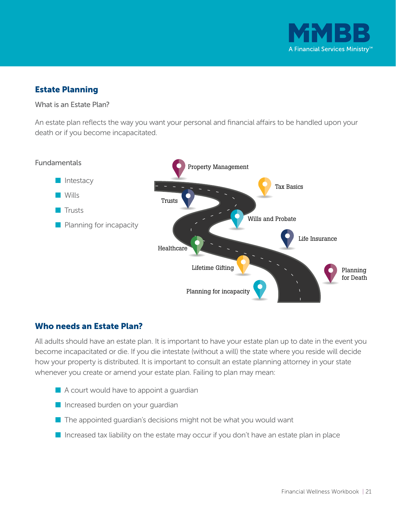

#### Estate Planning

What is an Estate Plan?

An estate plan reflects the way you want your personal and financial affairs to be handled upon your death or if you become incapacitated.



#### Who needs an Estate Plan?

All adults should have an estate plan. It is important to have your estate plan up to date in the event you become incapacitated or die. If you die intestate (without a will) the state where you reside will decide how your property is distributed. It is important to consult an estate planning attorney in your state whenever you create or amend your estate plan. Failing to plan may mean:

- $\blacksquare$  A court would have to appoint a guardian
- $\blacksquare$  Increased burden on your guardian
- $\blacksquare$  The appointed guardian's decisions might not be what you would want
- $\blacksquare$  Increased tax liability on the estate may occur if you don't have an estate plan in place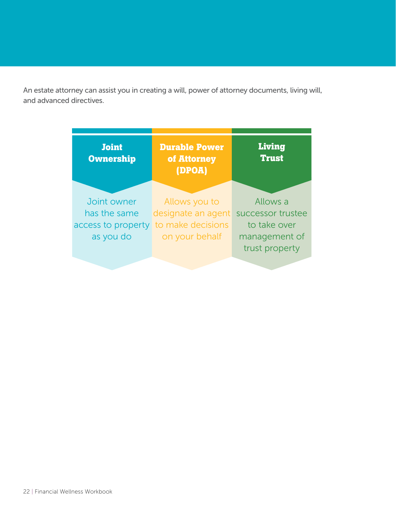An estate attorney can assist you in creating a will, power of attorney documents, living will, and advanced directives.

| <b>Joint</b><br><b>Ownership</b>                               | <b>Durable Power</b><br>of Attorney<br>(DPOA)                              | Living<br><b>Trust</b>                                                           |
|----------------------------------------------------------------|----------------------------------------------------------------------------|----------------------------------------------------------------------------------|
| Joint owner<br>has the same<br>access to property<br>as you do | Allows you to<br>designate an agent<br>to make decisions<br>on your behalf | Allows a<br>successor trustee<br>to take over<br>management of<br>trust property |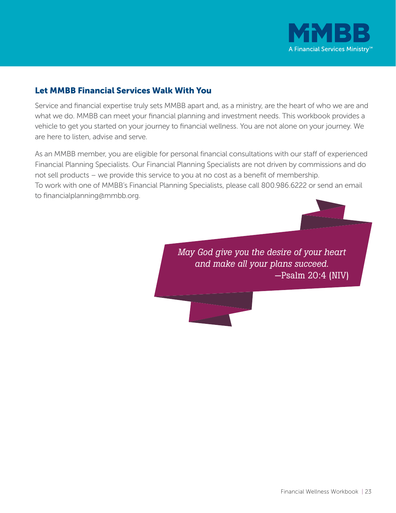

#### Let MMBB Financial Services Walk With You

Service and financial expertise truly sets MMBB apart and, as a ministry, are the heart of who we are and what we do. MMBB can meet your financial planning and investment needs. This workbook provides a vehicle to get you started on your journey to financial wellness. You are not alone on your journey. We are here to listen, advise and serve.

As an MMBB member, you are eligible for personal financial consultations with our staff of experienced Financial Planning Specialists. Our Financial Planning Specialists are not driven by commissions and do not sell products – we provide this service to you at no cost as a benefit of membership. To work with one of MMBB's Financial Planning Specialists, please call 800.986.6222 or send an email to financialplanning@mmbb.org.

> *May God give you the desire of your heart and make all your plans succeed.*  —Psalm 20:4 (NIV)

> > Financial Wellness Workbook | 23